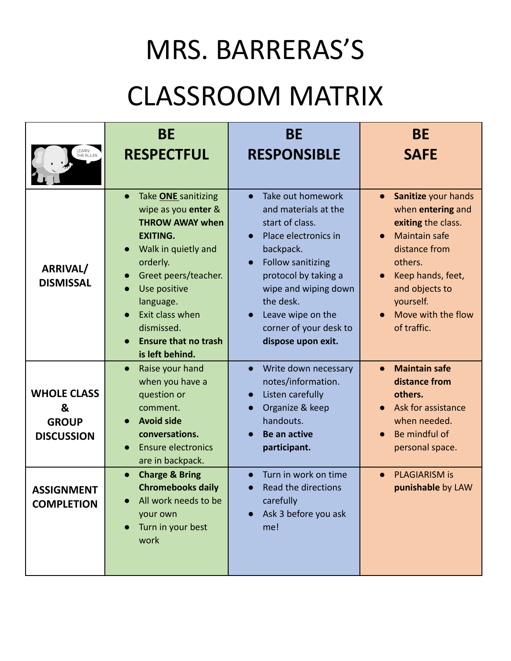## MRS. BARRERAS'S

## CLASSROOM MATRIX

| LEARN<br>THE RULES                                           | <b>BE</b><br><b>RESPECTFUL</b>                                                                                                                                                                                                                                                                      | <b>BE</b><br><b>RESPONSIBLE</b>                                                                                                                                                                                                                                                                 | <b>BE</b><br><b>SAFE</b>                                                                                                                                                                                                                           |
|--------------------------------------------------------------|-----------------------------------------------------------------------------------------------------------------------------------------------------------------------------------------------------------------------------------------------------------------------------------------------------|-------------------------------------------------------------------------------------------------------------------------------------------------------------------------------------------------------------------------------------------------------------------------------------------------|----------------------------------------------------------------------------------------------------------------------------------------------------------------------------------------------------------------------------------------------------|
| ARRIVAL/<br><b>DISMISSAL</b>                                 | Take <b>ONE</b> sanitizing<br>$\bullet$<br>wipe as you enter &<br><b>THROW AWAY when</b><br><b>EXITING.</b><br>Walk in quietly and<br>$\bullet$<br>orderly.<br>Greet peers/teacher.<br>Use positive<br>language.<br>Exit class when<br>dismissed.<br><b>Ensure that no trash</b><br>is left behind. | Take out homework<br>$\bullet$<br>and materials at the<br>start of class.<br>Place electronics in<br>$\bullet$<br>backpack.<br>Follow sanitizing<br>$\bullet$<br>protocol by taking a<br>wipe and wiping down<br>the desk.<br>Leave wipe on the<br>corner of your desk to<br>dispose upon exit. | Sanitize your hands<br>$\bullet$<br>when entering and<br>exiting the class.<br><b>Maintain safe</b><br>$\bullet$<br>distance from<br>others.<br>Keep hands, feet,<br>$\bullet$<br>and objects to<br>yourself.<br>Move with the flow<br>of traffic. |
| <b>WHOLE CLASS</b><br>&<br><b>GROUP</b><br><b>DISCUSSION</b> | Raise your hand<br>$\bullet$<br>when you have a<br>question or<br>comment.<br><b>Avoid side</b><br>$\bullet$<br>conversations.<br><b>Ensure electronics</b><br>$\bullet$<br>are in backpack.                                                                                                        | Write down necessary<br>$\bullet$<br>notes/information.<br>Listen carefully<br>Organize & keep<br>handouts.<br><b>Be an active</b><br>participant.                                                                                                                                              | <b>Maintain safe</b><br>$\bullet$<br>distance from<br>others.<br>Ask for assistance<br>when needed.<br>Be mindful of<br>personal space.                                                                                                            |
| <b>ASSIGNMENT</b><br><b>COMPLETION</b>                       | <b>Charge &amp; Bring</b><br>$\bullet$<br><b>Chromebooks daily</b><br>All work needs to be<br>your own<br>Turn in your best<br>$\bullet$<br>work                                                                                                                                                    | Turn in work on time<br>Read the directions<br>$\bullet$<br>carefully<br>Ask 3 before you ask<br>me!                                                                                                                                                                                            | <b>PLAGIARISM is</b><br>punishable by LAW                                                                                                                                                                                                          |